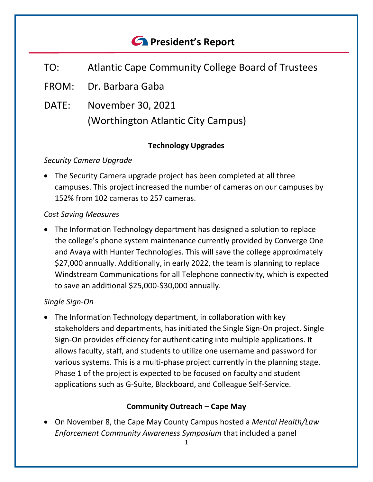# *<u>A</u>* President's Report

- TO: Atlantic Cape Community College Board of Trustees
- FROM: Dr. Barbara Gaba
- DATE: November 30, 2021 (Worthington Atlantic City Campus)

# **Technology Upgrades**

# *Security Camera Upgrade*

• The Security Camera upgrade project has been completed at all three campuses. This project increased the number of cameras on our campuses by 152% from 102 cameras to 257 cameras.

## *Cost Saving Measures*

• The Information Technology department has designed a solution to replace the college's phone system maintenance currently provided by Converge One and Avaya with Hunter Technologies. This will save the college approximately \$27,000 annually. Additionally, in early 2022, the team is planning to replace Windstream Communications for all Telephone connectivity, which is expected to save an additional \$25,000-\$30,000 annually.

# *Single Sign-On*

• The Information Technology department, in collaboration with key stakeholders and departments, has initiated the Single Sign-On project. Single Sign-On provides efficiency for authenticating into multiple applications. It allows faculty, staff, and students to utilize one username and password for various systems. This is a multi-phase project currently in the planning stage. Phase 1 of the project is expected to be focused on faculty and student applications such as G-Suite, Blackboard, and Colleague Self-Service.

# **Community Outreach – Cape May**

• On November 8, the Cape May County Campus hosted a *Mental Health/Law Enforcement Community Awareness Symposium* that included a panel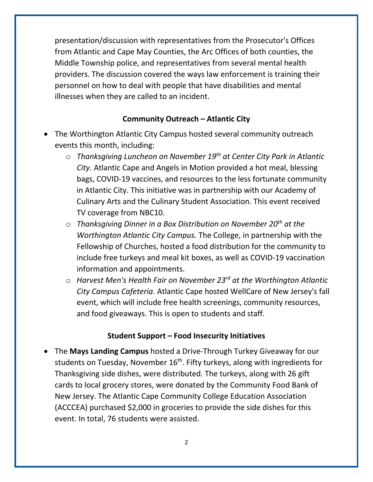presentation/discussion with representatives from the Prosecutor's Offices from Atlantic and Cape May Counties, the Arc Offices of both counties, the Middle Township police, and representatives from several mental health providers. The discussion covered the ways law enforcement is training their personnel on how to deal with people that have disabilities and mental illnesses when they are called to an incident.

## **Community Outreach – Atlantic City**

- The Worthington Atlantic City Campus hosted several community outreach events this month, including:
	- o *Thanksgiving Luncheon on November 19th at Center City Park in Atlantic City*. Atlantic Cape and Angels in Motion provided a hot meal, blessing bags, COVID-19 vaccines, and resources to the less fortunate community in Atlantic City. This initiative was in partnership with our Academy of Culinary Arts and the Culinary Student Association. This event received TV coverage from NBC10.
	- o *Thanksgiving Dinner in a Box Distribution on November 20th at the Worthington Atlantic City Campus.* The College, in partnership with the Fellowship of Churches, hosted a food distribution for the community to include free turkeys and meal kit boxes, as well as COVID-19 vaccination information and appointments.
	- o *Harvest Men's Health Fair on November 23rd at the Worthington Atlantic City Campus Cafeteria*. Atlantic Cape hosted WellCare of New Jersey's fall event, which will include free health screenings, community resources, and food giveaways. This is open to students and staff.

# **Student Support – Food Insecurity Initiatives**

• The **Mays Landing Campus** hosted a Drive-Through Turkey Giveaway for our students on Tuesday, November 16<sup>th</sup>. Fifty turkeys, along with ingredients for Thanksgiving side dishes, were distributed. The turkeys, along with 26 gift cards to local grocery stores, were donated by the Community Food Bank of New Jersey. The Atlantic Cape Community College Education Association (ACCCEA) purchased \$2,000 in groceries to provide the side dishes for this event. In total, 76 students were assisted.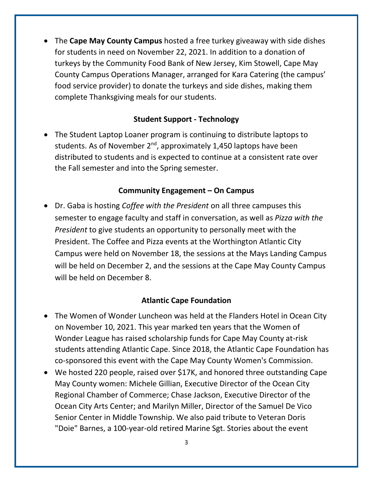• The **Cape May County Campus** hosted a free turkey giveaway with side dishes for students in need on November 22, 2021. In addition to a donation of turkeys by the Community Food Bank of New Jersey, Kim Stowell, Cape May County Campus Operations Manager, arranged for Kara Catering (the campus' food service provider) to donate the turkeys and side dishes, making them complete Thanksgiving meals for our students.

#### **Student Support - Technology**

• The Student Laptop Loaner program is continuing to distribute laptops to students. As of November  $2^{nd}$ , approximately 1,450 laptops have been distributed to students and is expected to continue at a consistent rate over the Fall semester and into the Spring semester.

#### **Community Engagement – On Campus**

• Dr. Gaba is hosting *Coffee with the President* on all three campuses this semester to engage faculty and staff in conversation, as well as *Pizza with the President* to give students an opportunity to personally meet with the President. The Coffee and Pizza events at the Worthington Atlantic City Campus were held on November 18, the sessions at the Mays Landing Campus will be held on December 2, and the sessions at the Cape May County Campus will be held on December 8.

#### **Atlantic Cape Foundation**

- The Women of Wonder Luncheon was held at the Flanders Hotel in Ocean City on November 10, 2021. This year marked ten years that the Women of Wonder League has raised scholarship funds for Cape May County at-risk students attending Atlantic Cape. Since 2018, the Atlantic Cape Foundation has co-sponsored this event with the Cape May County Women's Commission.
- We hosted 220 people, raised over \$17K, and honored three outstanding Cape May County women: Michele Gillian, Executive Director of the Ocean City Regional Chamber of Commerce; Chase Jackson, Executive Director of the Ocean City Arts Center; and Marilyn Miller, Director of the Samuel De Vico Senior Center in Middle Township. We also paid tribute to Veteran Doris "Doie" Barnes, a 100-year-old retired Marine Sgt. Stories about the event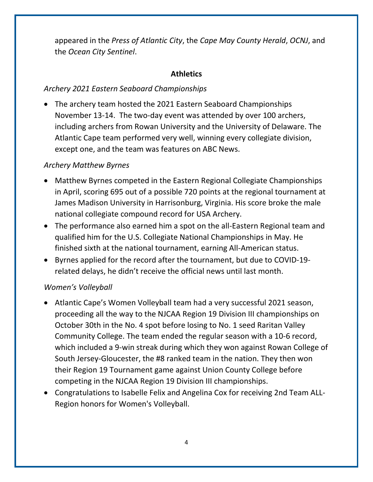appeared in the *Press of Atlantic City*, the *Cape May County Herald*, *OCNJ*, and the *Ocean City Sentinel*.

# **Athletics**

## *Archery 2021 Eastern Seaboard Championships*

• The archery team hosted the 2021 Eastern Seaboard Championships November 13-14. The two-day event was attended by over 100 archers, including archers from Rowan University and the University of Delaware. The Atlantic Cape team performed very well, winning every collegiate division, except one, and the team was features on ABC News.

## *Archery Matthew Byrnes*

- Matthew Byrnes competed in the Eastern Regional Collegiate Championships in April, scoring 695 out of a possible 720 points at the regional tournament at James Madison University in Harrisonburg, Virginia. His score broke the male national collegiate compound record for USA Archery.
- The performance also earned him a spot on the all-Eastern Regional team and qualified him for the U.S. Collegiate National Championships in May. He finished sixth at the national tournament, earning All-American status.
- Byrnes applied for the record after the tournament, but due to COVID-19 related delays, he didn't receive the official news until last month.

# *Women's Volleyball*

- Atlantic Cape's Women Volleyball team had a very successful 2021 season, proceeding all the way to the NJCAA Region 19 Division III championships on October 30th in the No. 4 spot before losing to No. 1 seed Raritan Valley Community College. The team ended the regular season with a 10-6 record, which included a 9-win streak during which they won against Rowan College of South Jersey-Gloucester, the #8 ranked team in the nation. They then won their Region 19 Tournament game against Union County College before competing in the NJCAA Region 19 Division III championships.
- Congratulations to Isabelle Felix and Angelina Cox for receiving 2nd Team ALL-Region honors for Women's Volleyball.